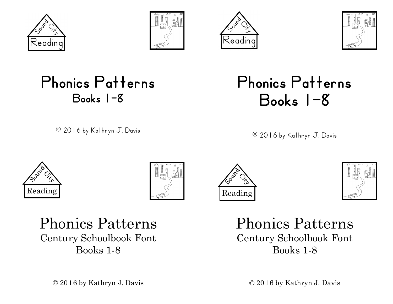







### Phonics Patterns Books 1-8

© 2016 by Kathryn J. Davis

### Phonics Patterns Books 1-8

© 2016 by Kathryn J. Davis









Phonics Patterns Century Schoolbook Font Books 1-8

Phonics Patterns Century Schoolbook Font Books 1-8

© 2016 by Kathryn J. Davis

 $\odot$  2016 by Kathryn J. Davis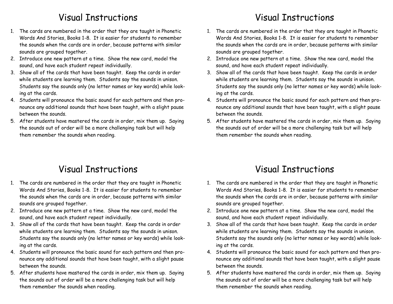### Visual Instructions

- 1. The cards are numbered in the order that they are taught in Phonetic Words And Stories, Books 1-8. It is easier for students to remember the sounds when the cards are in order, because patterns with similar sounds are grouped together.
- 2. Introduce one new pattern at a time. Show the new card, model the sound, and have each student repeat individually.
- 3. Show all of the cards that have been taught. Keep the cards in order while students are learning them. Students say the sounds in unison. Students say the sounds only (no letter names or key words) while looking at the cards.
- 4. Students will pronounce the basic sound for each pattern and then pronounce any additional sounds that have been taught, with a slight pause between the sounds.
- 5. After students have mastered the cards in order, mix them up. Saying the sounds out of order will be a more challenging task but will help them remember the sounds when reading.

### Visual Instructions

- 1. The cards are numbered in the order that they are taught in Phonetic Words And Stories, Books 1-8. It is easier for students to remember the sounds when the cards are in order, because patterns with similar sounds are grouped together.
- 2. Introduce one new pattern at a time. Show the new card, model the sound, and have each student repeat individually.
- 3. Show all of the cards that have been taught. Keep the cards in order while students are learning them. Students say the sounds in unison. Students say the sounds only (no letter names or key words) while looking at the cards.
- 4. Students will pronounce the basic sound for each pattern and then pronounce any additional sounds that have been taught, with a slight pause between the sounds.
- 5. After students have mastered the cards in order, mix them up. Saying the sounds out of order will be a more challenging task but will help them remember the sounds when reading.

### Visual Instructions

- 1. The cards are numbered in the order that they are taught in Phonetic Words And Stories, Books 1-8. It is easier for students to remember the sounds when the cards are in order, because patterns with similar sounds are grouped together.
- 2. Introduce one new pattern at a time. Show the new card, model the sound, and have each student repeat individually.
- 3. Show all of the cards that have been taught. Keep the cards in order while students are learning them. Students say the sounds in unison. Students say the sounds only (no letter names or key words) while looking at the cards.
- 4. Students will pronounce the basic sound for each pattern and then pronounce any additional sounds that have been taught, with a slight pause between the sounds.
- 5. After students have mastered the cards in order, mix them up. Saying the sounds out of order will be a more challenging task but will help them remember the sounds when reading.

### Visual Instructions

- 1. The cards are numbered in the order that they are taught in Phonetic Words And Stories, Books 1-8. It is easier for students to remember the sounds when the cards are in order, because patterns with similar sounds are grouped together.
- 2. Introduce one new pattern at a time. Show the new card, model the sound, and have each student repeat individually.
- 3. Show all of the cards that have been taught. Keep the cards in order while students are learning them. Students say the sounds in unison. Students say the sounds only (no letter names or key words) while looking at the cards.
- 4. Students will pronounce the basic sound for each pattern and then pronounce any additional sounds that have been taught, with a slight pause between the sounds.
- 5. After students have mastered the cards in order, mix them up. Saying the sounds out of order will be a more challenging task but will help them remember the sounds when reading.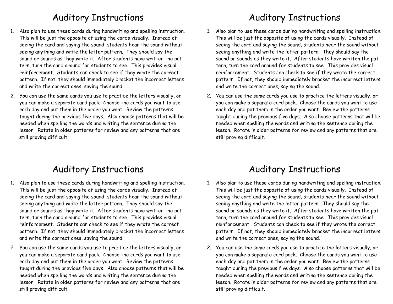### Auditory Instructions

- 1. Also plan to use these cards during handwriting and spelling instruction. This will be just the opposite of using the cards visually. Instead of seeing the card and saying the sound, students hear the sound without seeing anything and write the letter pattern. They should say the sound or sounds as they write it. After students have written the pattern, turn the card around for students to see. This provides visual reinforcement. Students can check to see if they wrote the correct pattern. If not, they should immediately bracket the incorrect letters and write the correct ones, saying the sound.
- 2. You can use the same cards you use to practice the letters visually, or you can make a separate card pack. Choose the cards you want to use each day and put them in the order you want. Review the patterns taught during the previous five days. Also choose patterns that will be needed when spelling the words and writing the sentence during the lesson. Rotate in older patterns for review and any patterns that are still proving difficult.

### Auditory Instructions

- 1. Also plan to use these cards during handwriting and spelling instruction. This will be just the opposite of using the cards visually. Instead of seeing the card and saying the sound, students hear the sound without seeing anything and write the letter pattern. They should say the sound or sounds as they write it. After students have written the pattern, turn the card around for students to see. This provides visual reinforcement. Students can check to see if they wrote the correct pattern. If not, they should immediately bracket the incorrect letters and write the correct ones, saying the sound.
- 2. You can use the same cards you use to practice the letters visually, or you can make a separate card pack. Choose the cards you want to use each day and put them in the order you want. Review the patterns taught during the previous five days. Also choose patterns that will be needed when spelling the words and writing the sentence during the lesson. Rotate in older patterns for review and any patterns that are still proving difficult.

### Auditory Instructions

- 1. Also plan to use these cards during handwriting and spelling instruction. This will be just the opposite of using the cards visually. Instead of seeing the card and saying the sound, students hear the sound without seeing anything and write the letter pattern. They should say the sound or sounds as they write it. After students have written the pattern, turn the card around for students to see. This provides visual reinforcement. Students can check to see if they wrote the correct pattern. If not, they should immediately bracket the incorrect letters and write the correct ones, saying the sound.
- 2. You can use the same cards you use to practice the letters visually, or you can make a separate card pack. Choose the cards you want to use each day and put them in the order you want. Review the patterns taught during the previous five days. Also choose patterns that will be needed when spelling the words and writing the sentence during the lesson. Rotate in older patterns for review and any patterns that are still proving difficult.

### Auditory Instructions

- 1. Also plan to use these cards during handwriting and spelling instruction. This will be just the opposite of using the cards visually. Instead of seeing the card and saying the sound, students hear the sound without seeing anything and write the letter pattern. They should say the sound or sounds as they write it. After students have written the pattern, turn the card around for students to see. This provides visual reinforcement. Students can check to see if they wrote the correct pattern. If not, they should immediately bracket the incorrect letters and write the correct ones, saying the sound.
- 2. You can use the same cards you use to practice the letters visually, or you can make a separate card pack. Choose the cards you want to use each day and put them in the order you want. Review the patterns taught during the previous five days. Also choose patterns that will be needed when spelling the words and writing the sentence during the lesson. Rotate in older patterns for review and any patterns that are still proving difficult.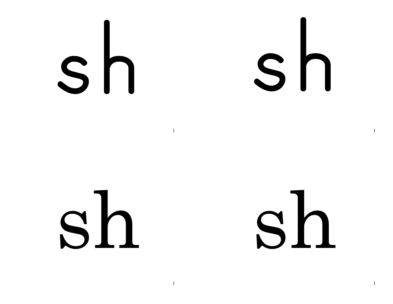Sh

### Sh

### sh

 $\mathbf{1}$ 

 $\mathbf{1}$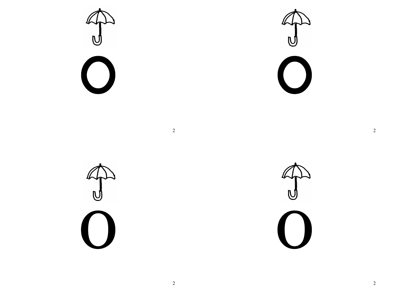$\bigcup$ C  $\bigcirc$  $\bigcirc$  $\overline{2}$  $\begin{matrix} \mathbb{Z} \downarrow \\ \mathbb{Z} \downarrow \downarrow \downarrow \downarrow \downarrow \downarrow \end{matrix}$  $\begin{pmatrix} 1 \\ 1 \end{pmatrix}$ 

 $\overline{\phantom{a}}$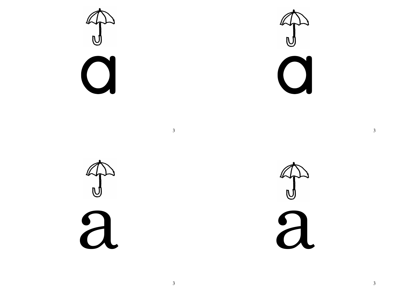$\mathbf{C}$ 

 $\sum_{i=1}^{n}$  $\Omega$ 

A)<br>2

 $\overline{3}$ 

 $\overline{3}$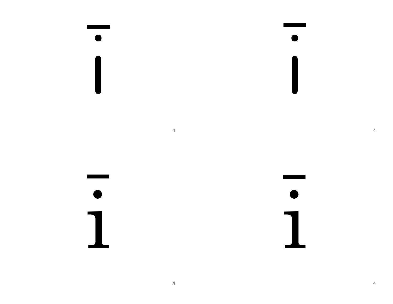$\overline{\mathbf{I}}$  $\begin{array}{c} \hline \end{array}$  $\overline{4}$  $\bullet$  $\bullet$  $\mathbf{1}$ 1

 $\overline{4}$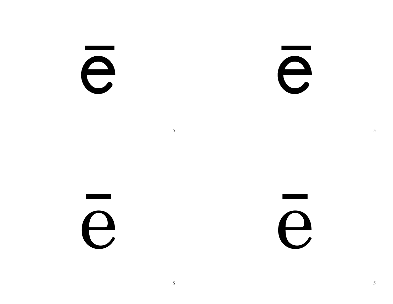e

e

e

e

 $5\overline{)}$ 

 $5\overline{)}$ 

 $5\overline{)}$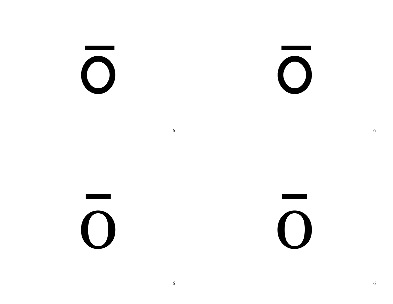$\bigcirc$ 

 $\bigcirc$ 

 $\overline{O}$ 

 $\overline{O}$ 

6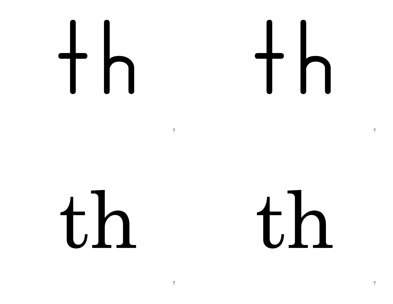$th$ 

th

 $\overline{7}$ 

 $\overline{7}$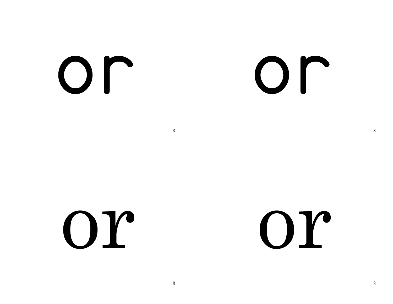Or

### Or

Or

Or

8

8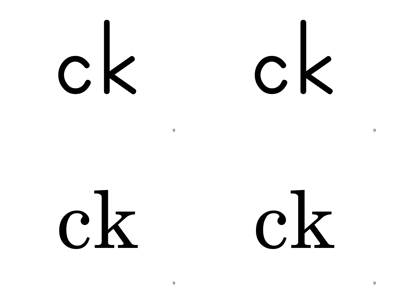$c\mathbf{k}$ 

 $c\,k$ 

9

9

 $\mathbf Q$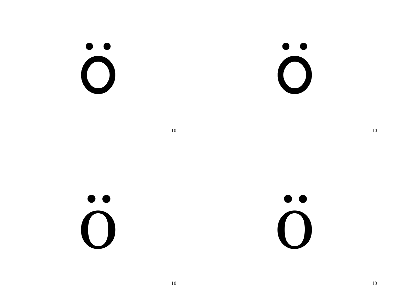$\bullet\;\bullet$  $\bigcirc$ 

 $\bullet$  $\bigcap$ 

 $10\,$ 

 $\bullet$  $\bigcap$ 

 $\bullet$  $\blacksquare$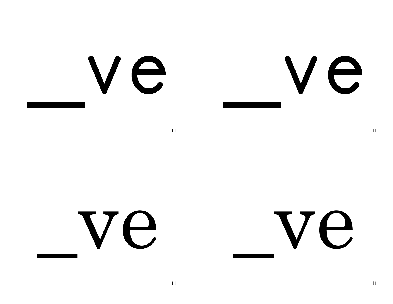### Ve Ve

11

### Ve

 $11\,$ 

Ve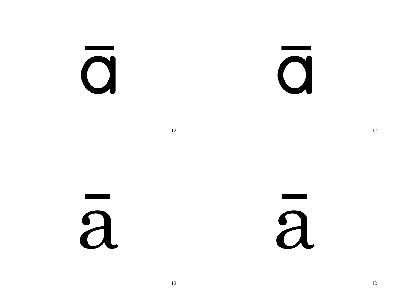J

 $\mathbf O$ 

12

a

a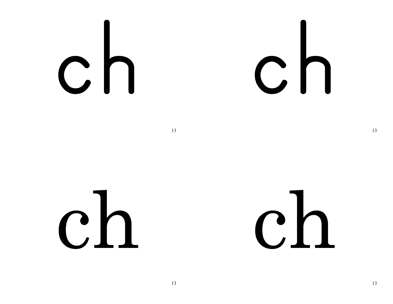## 

### $ch$

### $ch$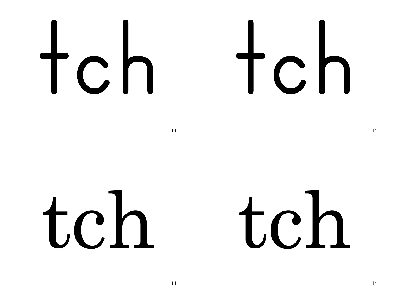## $top$

## $tch$

 $14$ 

### tch

### t.ch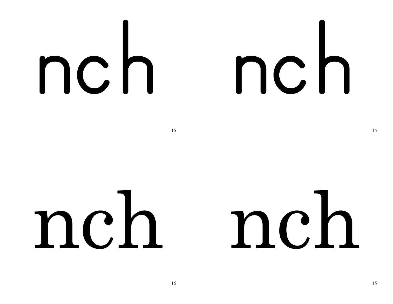## nch nch

### nch nch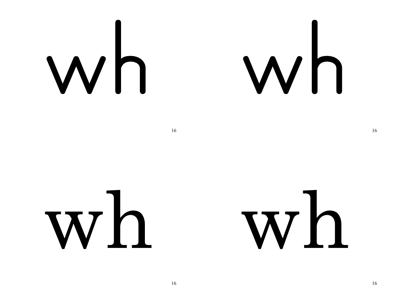## Wh

## 

16

### wh

### wh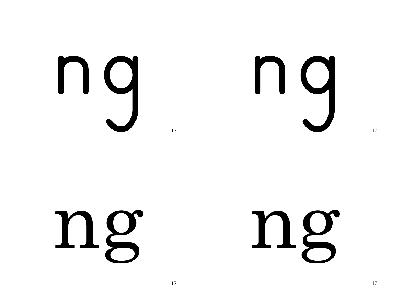



ng

### ng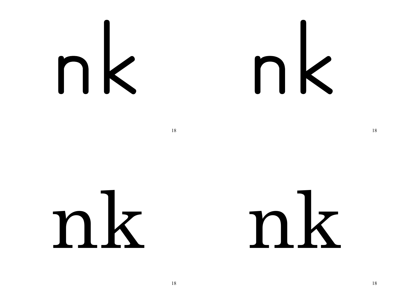$nk$ 

nk

nk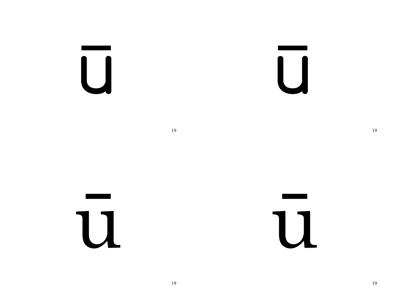$\overline{\bigcup}$ 

 $\overline{\mathsf{U}}$ 

U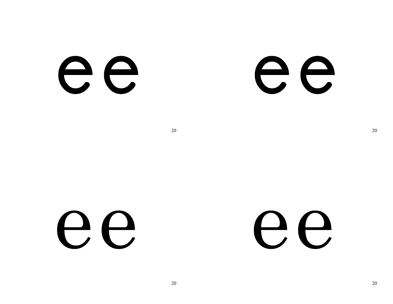ee



ee

ee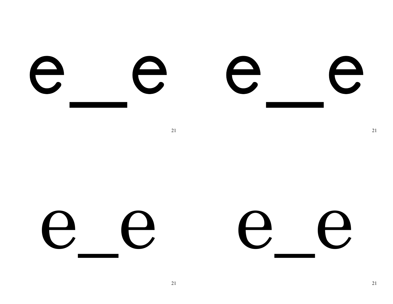

 $\bigcup$  $\boldsymbol{\Theta}$  $\bigcup$  $\bigcup$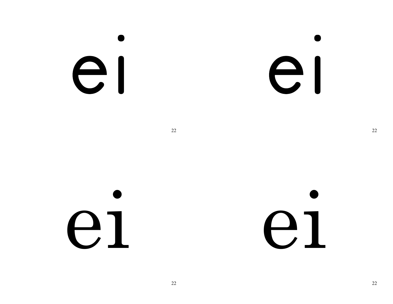### el

el

22

el

el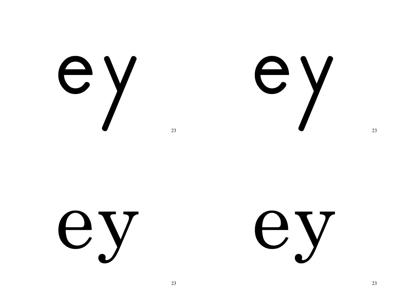

ey

U V

U Y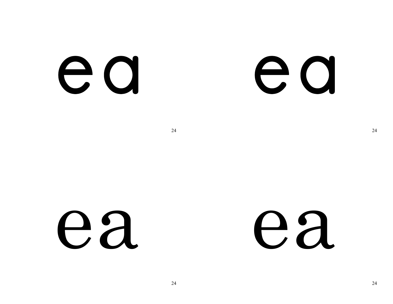e a

e a

ea ea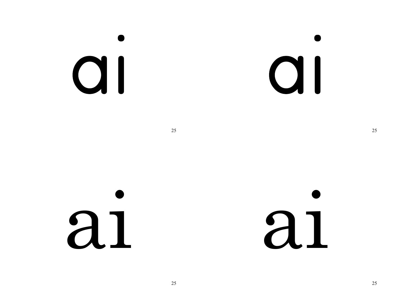### QI

al

25  $\sim$  25

ai ai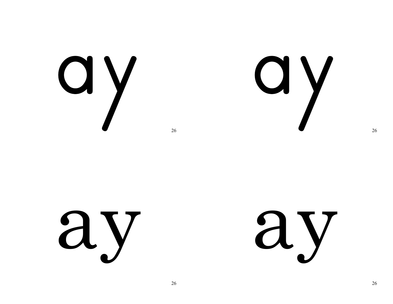

dy

ay ay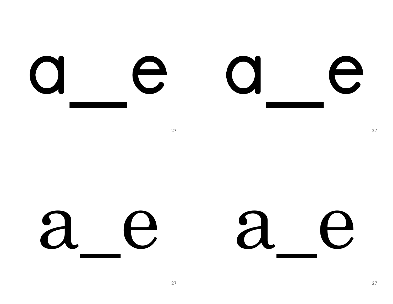

a  $\mathbf{a}$ e  $\mathbf{\Theta}$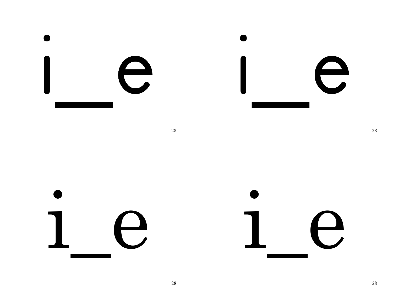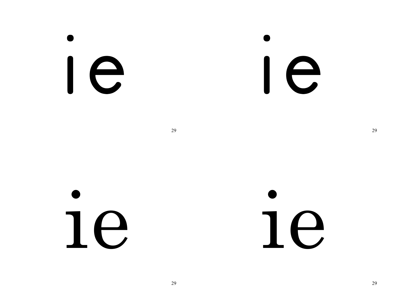Ie

Ie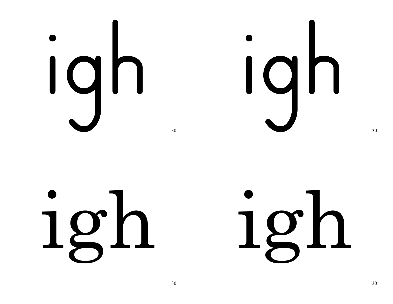# 

igh

## igh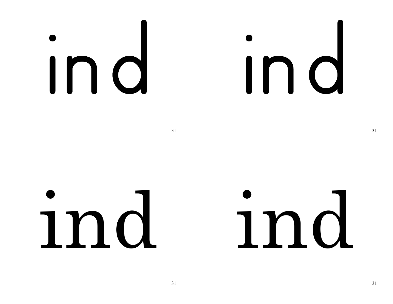## Ind

 $31$ 

### ind

### ind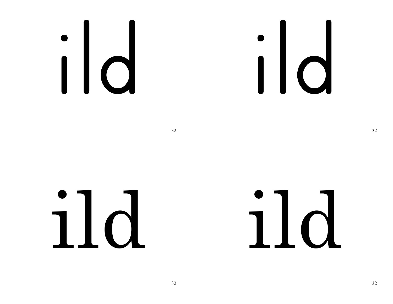### 

###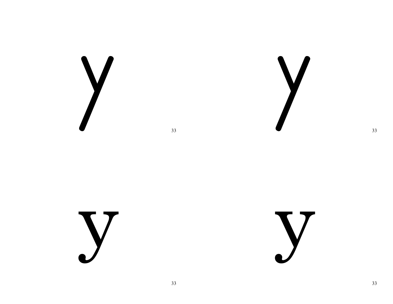



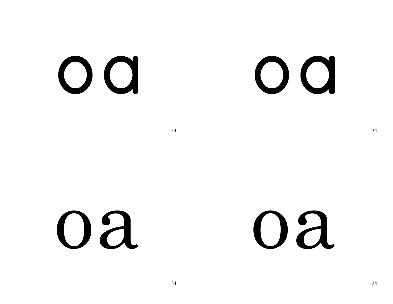OQ

### OQ

 $34$   $34$ 

### oa oa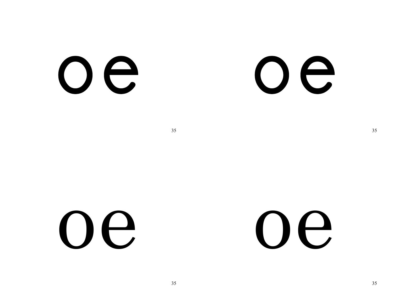Oe



oe oe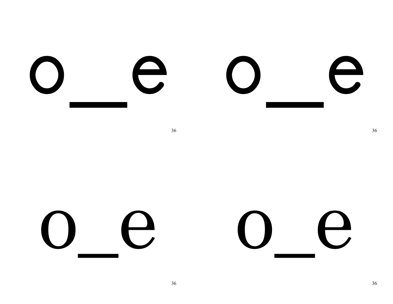

#### $\bigcap$ 0 0 C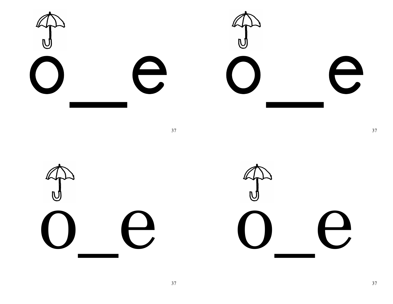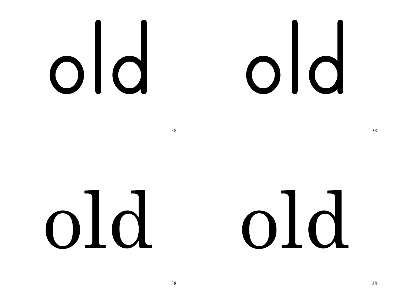38

## old old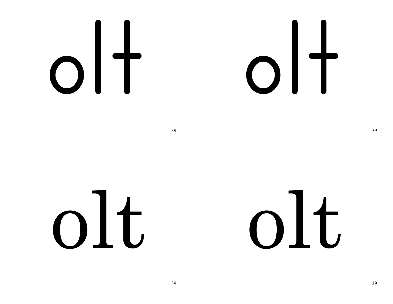# 

## olt olt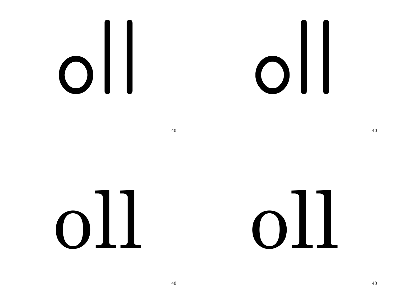# 

and  $40$ 

## oll oll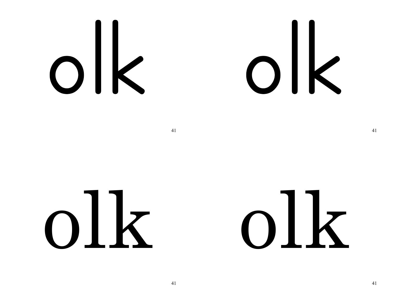# olk olk

##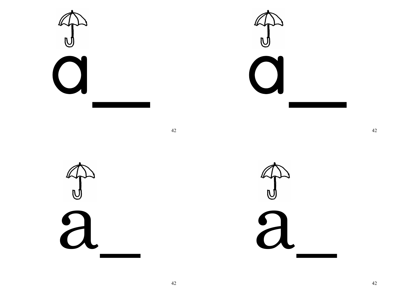$\bigcirc$ 

 $\mathbf n$  $\bigcup$ 

42

a

C a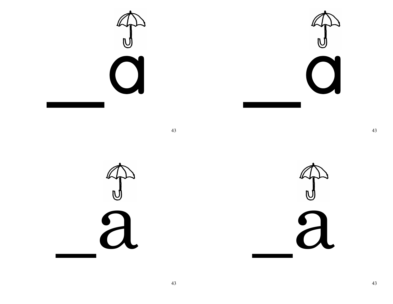



 $\frac{d}{d}$ 

 $\overline{C}$ a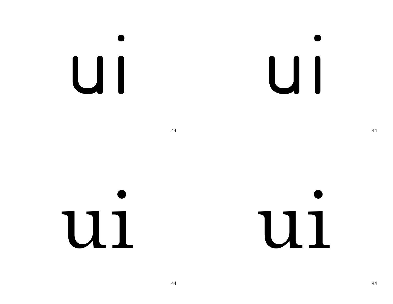## UI

UI

44

## U1

U1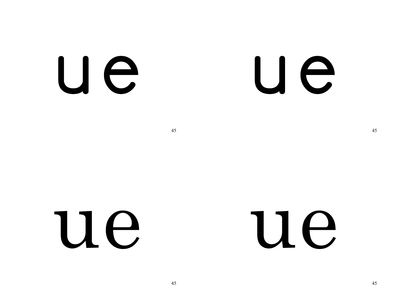### U e

### U e

45

### Ue

#### Ue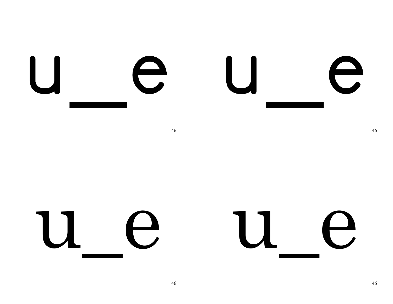

u e u e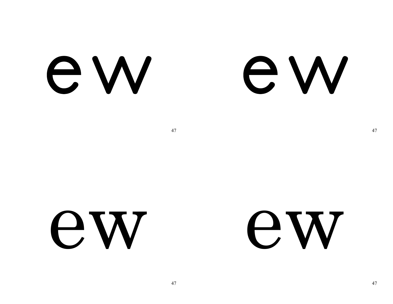e W

### e W

47

ew

#### **EW**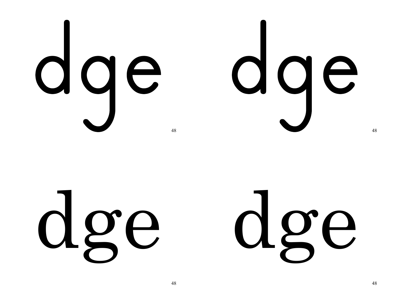

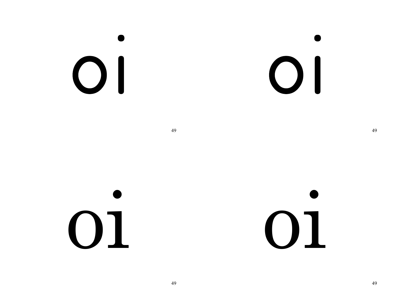## $\bigcirc$

 $\bigcirc$ 

49 49

oi oi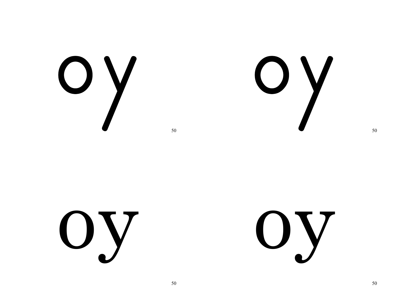OY<br>V

OY<br>V

Oy

Uy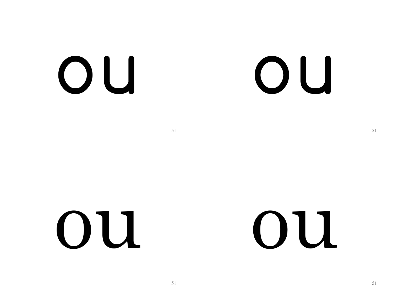OU

### OU

51

OU

#### OU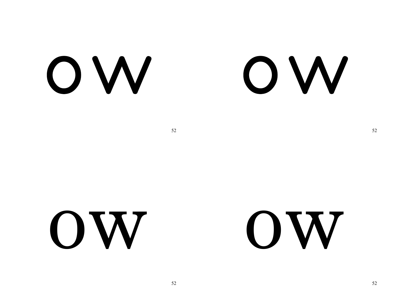OW

#### OW

 $52$   $52$ 

ow ow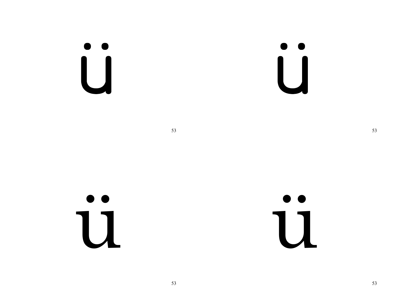$\begin{bmatrix} 0 \\ 1 \end{bmatrix}$ 

 $\begin{bmatrix} 0 \\ 1 \end{bmatrix}$ 

53

 $\bullet$ 11

 $\bullet$ 11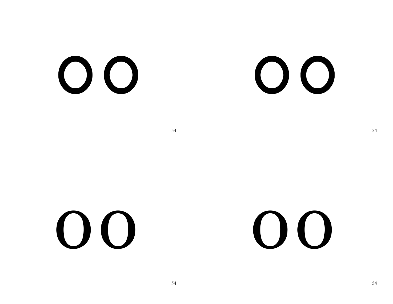$O$   $O$ 

### $O$   $O$

54

 $O$ 

### $O$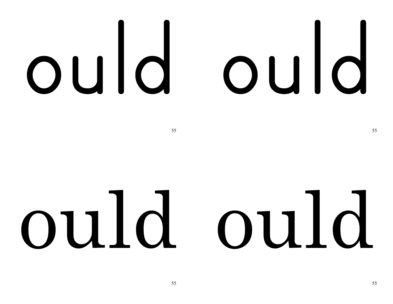# ould ould

 $55$  55

## ould ould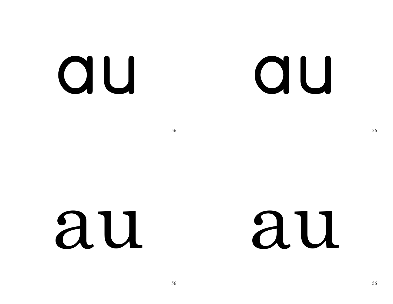#### au

### QU

56

### au

### au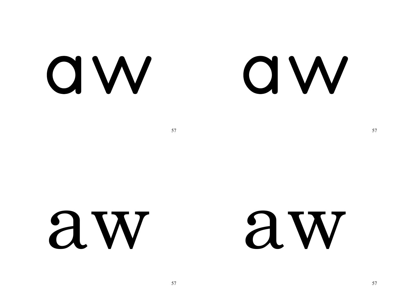**QW** 

### **QW**

 $57$  57

### aw aw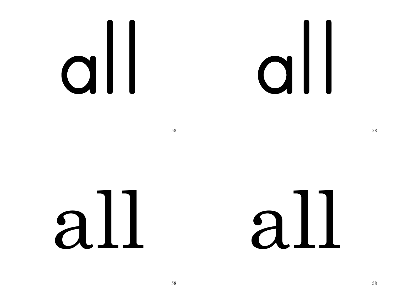# 

## all all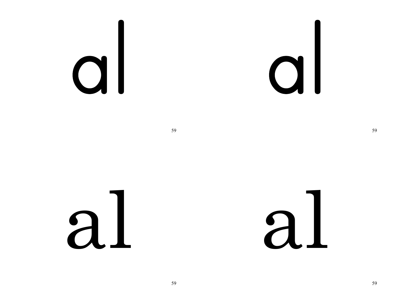## al

 $a<sub>L</sub>$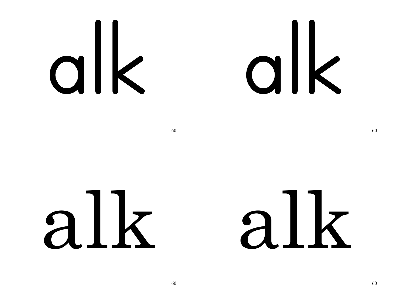# 

 $\sim$  60 60

## alk alk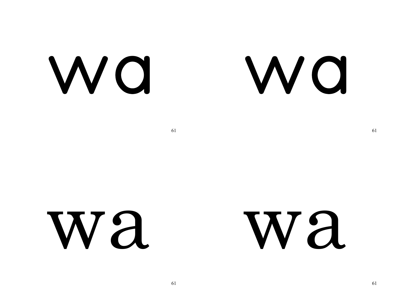WQ

WO

wa wa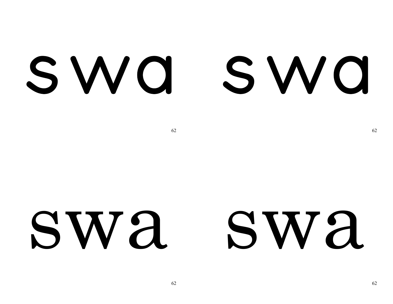### SWQ SWQ

62

#### SW'A SW'A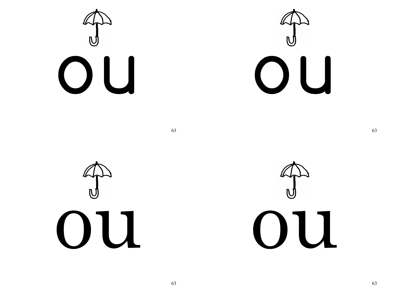





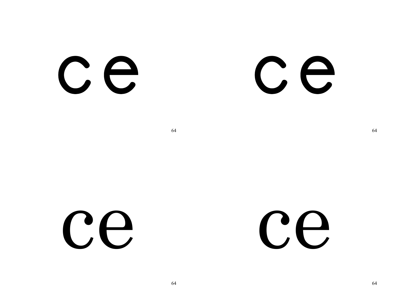CE

#### CE

64

Ce

Ce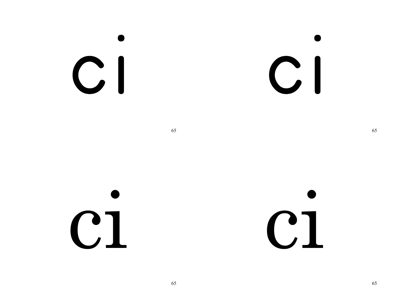## $CI$

 $C1$ 

65

 $C1$ 

 $C1$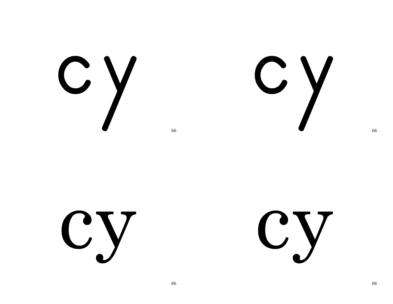C Y

CY<br>V

**Cy** 

**Cy**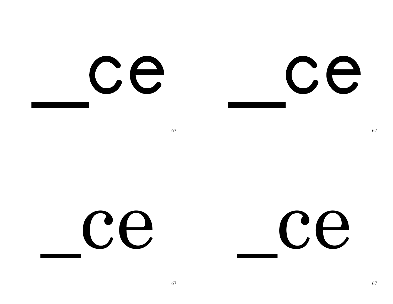Ce CE

Ce

Ce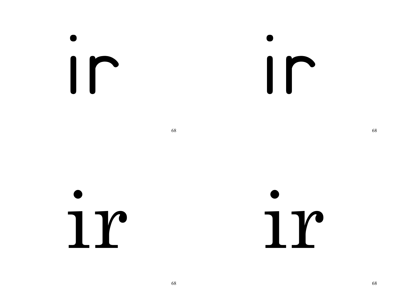Ir

Ir

ir ir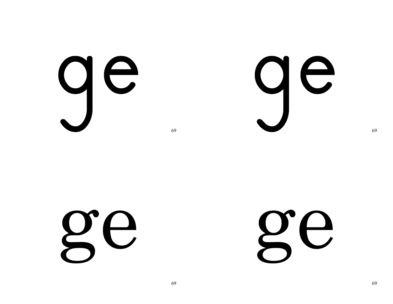ge

ge

ge

ge

69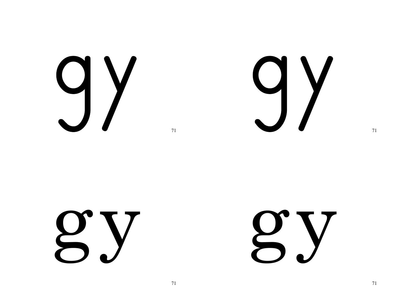

#### gy<br>Sy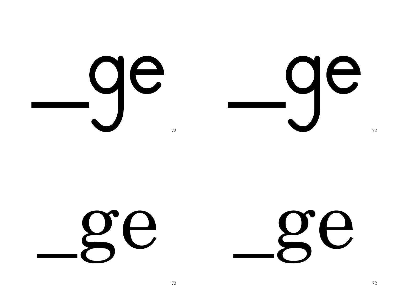ge. ge. 72 72

ge ge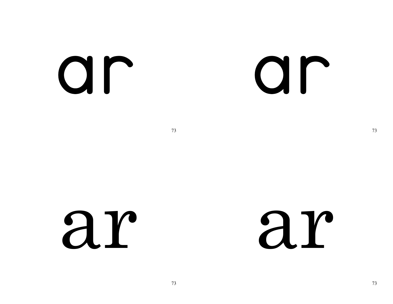ar

#### ar

73

ar

ar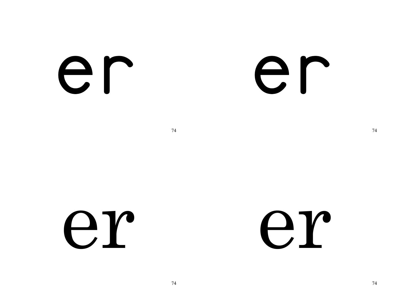er

#### er

74

er

er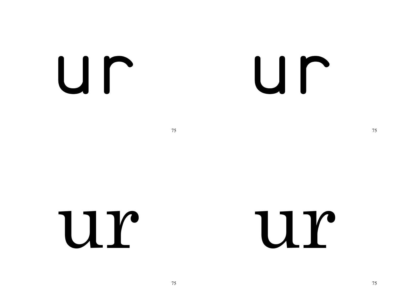Ur.

#### Ur

75

U r

Ur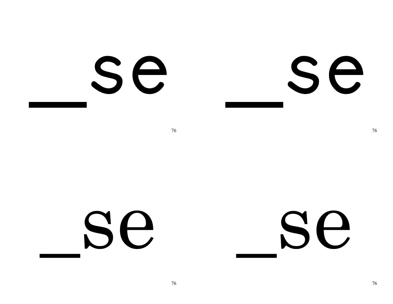Se

Se

Se

Se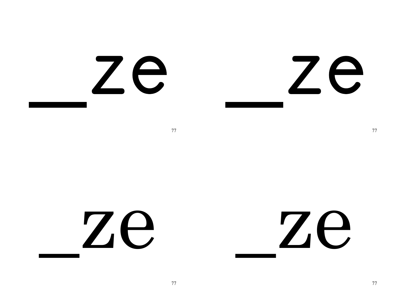#### Ze Ze

77

#### Ze Ze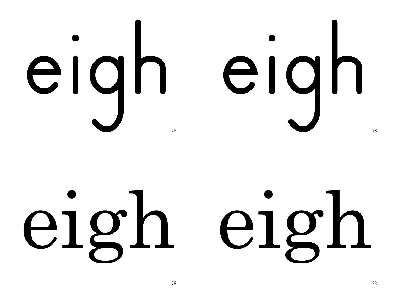

## eigh eigh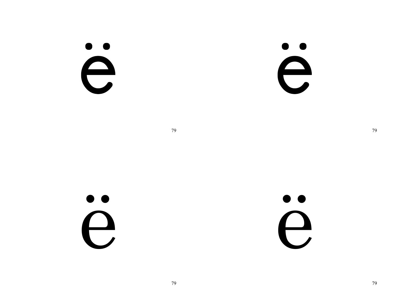#### $\bullet$ e

 $\bullet$ e

79



 $\bullet$  $\Theta$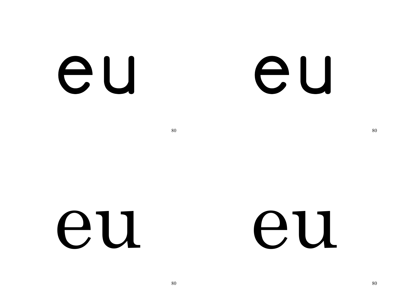eu

#### eu

80

eu

eu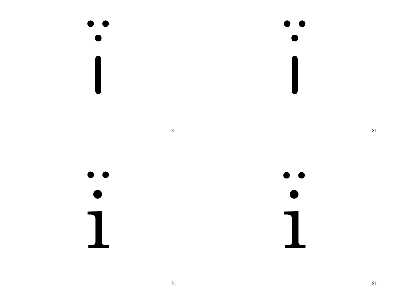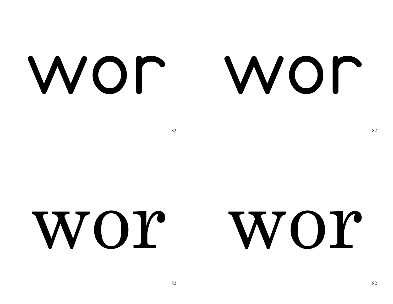#### WOP

#### WOM

82

#### WOY WOY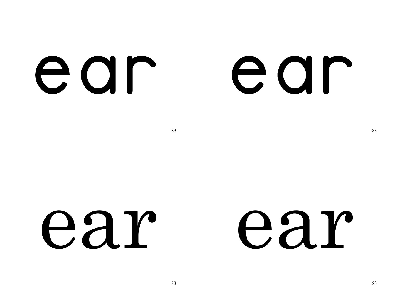ear

#### ear

 $83$  83

#### ear ear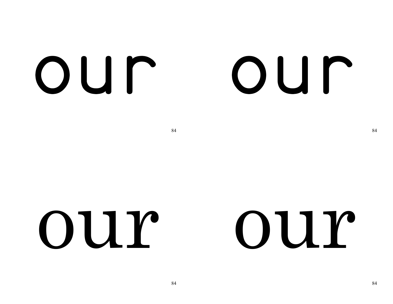#### OUN

#### OUN

84 84

#### our our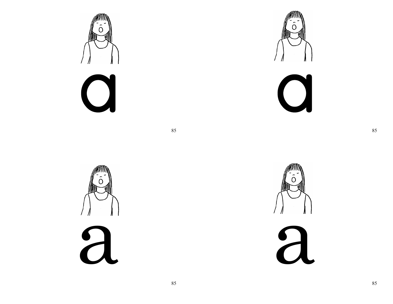





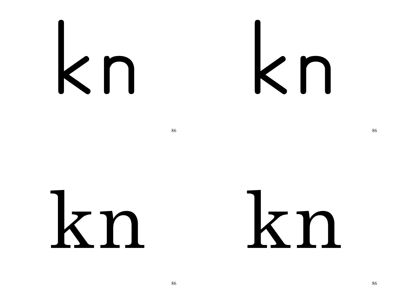## kn

 $86$ 

### kn kn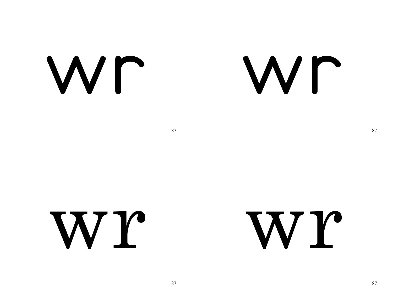Wr

#### Wr

87

WY

WY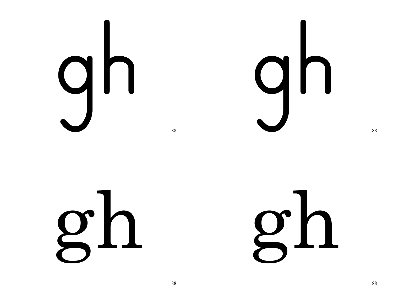

gh

gh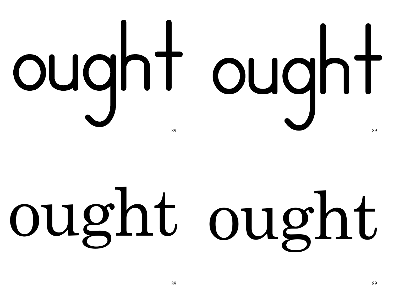# ought ought

### ought ought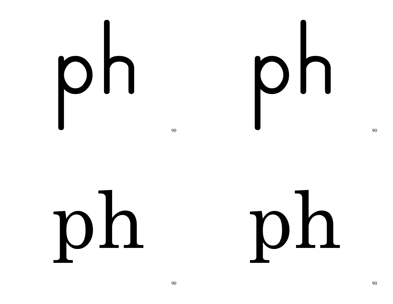## ph

## 

90

 $D<sub>h</sub>$ 

 $D<sub>h</sub>$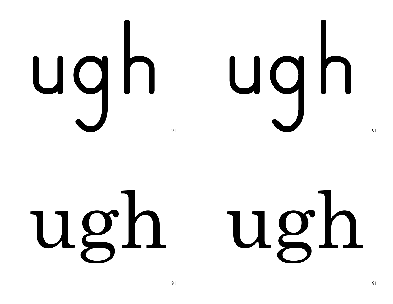



ugh ugh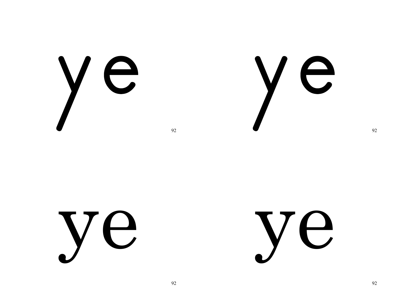ye

ye

ye

ye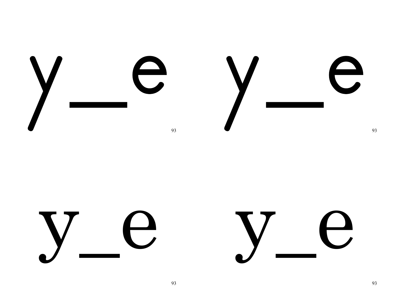

 $\overline{\phantom{a}}$ 

 $\overline{\phantom{a}}$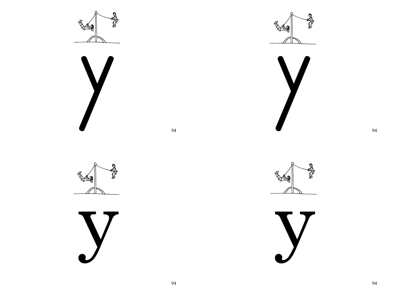











Q Í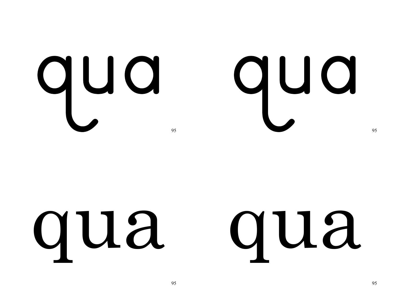## qua qua

#### qua qua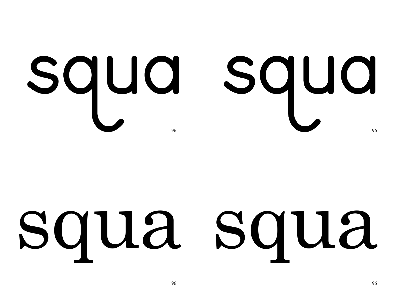## squa squa

### squa squa